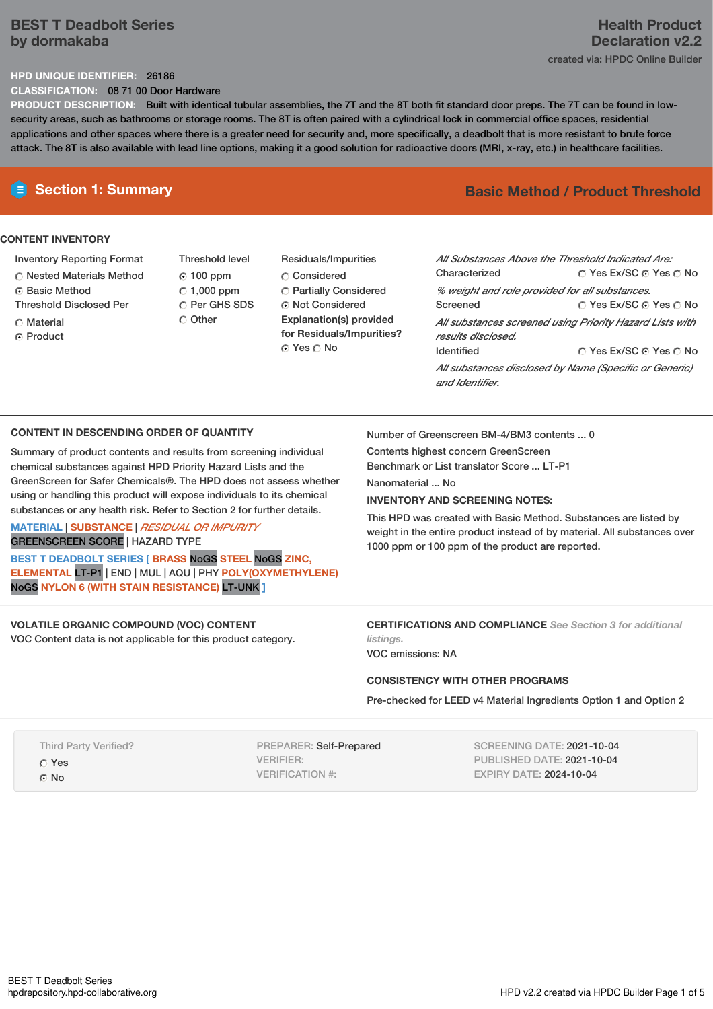# **BEST T Deadbolt Series by dormakaba**

# **Health Product Declaration v2.2** created via: HPDC Online Builder

## **HPD UNIQUE IDENTIFIER:** 26186

**CLASSIFICATION:** 08 71 00 Door Hardware

**PRODUCT DESCRIPTION:** Built with identical tubular assemblies, the 7T and the 8T both fit standard door preps. The 7T can be found in lowsecurity areas, such as bathrooms or storage rooms. The 8T is often paired with a cylindrical lock in commercial office spaces, residential applications and other spaces where there is a greater need for security and, more specifically, a deadbolt that is more resistant to brute force attack. The 8T is also available with lead line options, making it a good solution for radioactive doors (MRI, x-ray, etc.) in healthcare facilities.

# **CONTENT INVENTORY**

- Inventory Reporting Format
- Nested Materials Method
- **C** Basic Method
- Threshold Disclosed Per
- **C** Material
- ⊙ Product
- Threshold level 100 ppm  $C$  1,000 ppm C Per GHS SDS C Other
- Residuals/Impurities C<sub>onsidered</sub> Partially Considered Not Considered **Explanation(s) provided for Residuals/Impurities?** © Yes ∩ No

# **Section 1: Summary Basic Method / Product Threshold**

| All Substances Above the Threshold Indicated Are:<br>Characterized             | ∩ Yes Ex/SC ∩ Yes ∩ No |  |  |  |
|--------------------------------------------------------------------------------|------------------------|--|--|--|
| % weight and role provided for all substances.                                 |                        |  |  |  |
| Screened                                                                       | ∩ Yes Ex/SC ∩ Yes ∩ No |  |  |  |
| All substances screened using Priority Hazard Lists with<br>results disclosed. |                        |  |  |  |
| <b>Identified</b>                                                              | ∩ Yes Ex/SC ∩ Yes ∩ No |  |  |  |
| All substances disclosed by Name (Specific or Generic)<br>and Identifier.      |                        |  |  |  |

## **CONTENT IN DESCENDING ORDER OF QUANTITY**

Summary of product contents and results from screening individual chemical substances against HPD Priority Hazard Lists and the GreenScreen for Safer Chemicals®. The HPD does not assess whether using or handling this product will expose individuals to its chemical substances or any health risk. Refer to Section 2 for further details.

## **MATERIAL** | **SUBSTANCE** | *RESIDUAL OR IMPURITY* GREENSCREEN SCORE | HAZARD TYPE

**BEST T DEADBOLT SERIES [ BRASS** NoGS **STEEL** NoGS **ZINC, ELEMENTAL** LT-P1 | END | MUL | AQU | PHY **POLY(OXYMETHYLENE)** NoGS **NYLON 6 (WITH STAIN RESISTANCE)** LT-UNK **]**

#### **VOLATILE ORGANIC COMPOUND (VOC) CONTENT** VOC Content data is not applicable for this product category.

Number of Greenscreen BM-4/BM3 contents ... 0

Contents highest concern GreenScreen Benchmark or List translator Score ... LT-P1

Nanomaterial ... No

## **INVENTORY AND SCREENING NOTES:**

This HPD was created with Basic Method. Substances are listed by weight in the entire product instead of by material. All substances over 1000 ppm or 100 ppm of the product are reported.

# **CERTIFICATIONS AND COMPLIANCE** *See Section 3 for additional listings.*

VOC emissions: NA

## **CONSISTENCY WITH OTHER PROGRAMS**

Pre-checked for LEED v4 Material Ingredients Option 1 and Option 2

Third Party Verified?

Yes

© No

PREPARER: Self-Prepared VERIFIER: VERIFICATION #:

SCREENING DATE: 2021-10-04 PUBLISHED DATE: 2021-10-04 EXPIRY DATE: 2024-10-04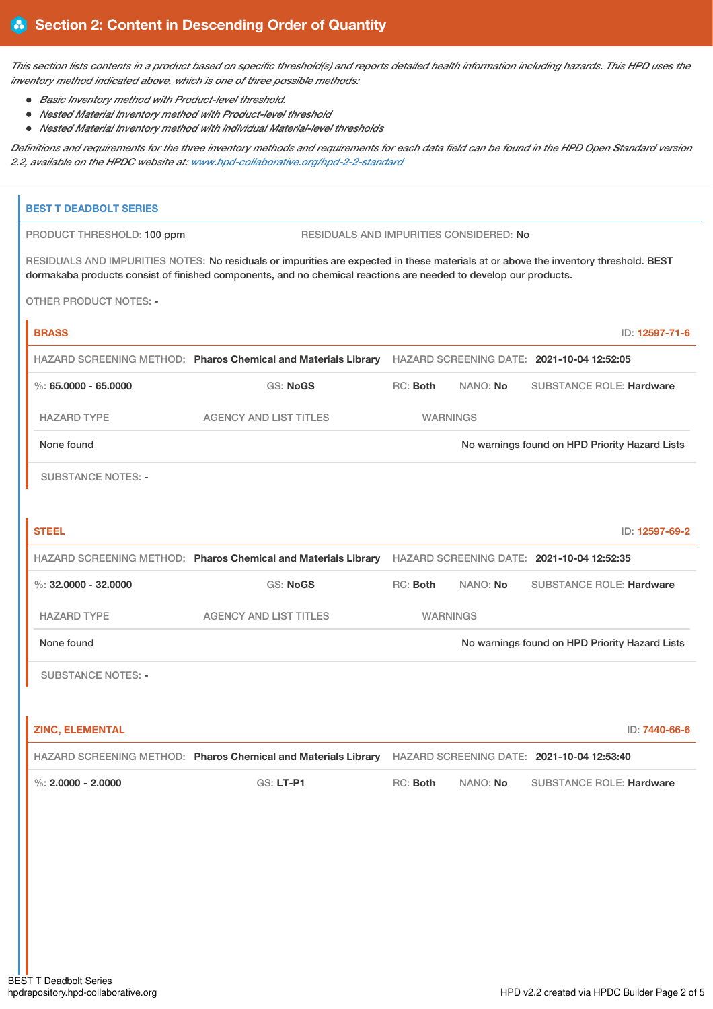This section lists contents in a product based on specific threshold(s) and reports detailed health information including hazards. This HPD uses the *inventory method indicated above, which is one of three possible methods:*

- *Basic Inventory method with Product-level threshold.*
- *Nested Material Inventory method with Product-level threshold*
- *Nested Material Inventory method with individual Material-level thresholds*

Definitions and requirements for the three inventory methods and requirements for each data field can be found in the HPD Open Standard version *2.2, available on the HPDC website at: [www.hpd-collaborative.org/hpd-2-2-standard](https://www.hpd-collaborative.org/hpd-2-2-standard)*

| <b>BEST T DEADBOLT SERIES</b> |                                                                                                                                                                                                                                                          |          |                 |                                                |                |
|-------------------------------|----------------------------------------------------------------------------------------------------------------------------------------------------------------------------------------------------------------------------------------------------------|----------|-----------------|------------------------------------------------|----------------|
| PRODUCT THRESHOLD: 100 ppm    | RESIDUALS AND IMPURITIES CONSIDERED: No                                                                                                                                                                                                                  |          |                 |                                                |                |
|                               | RESIDUALS AND IMPURITIES NOTES: No residuals or impurities are expected in these materials at or above the inventory threshold. BEST<br>dormakaba products consist of finished components, and no chemical reactions are needed to develop our products. |          |                 |                                                |                |
| <b>OTHER PRODUCT NOTES: -</b> |                                                                                                                                                                                                                                                          |          |                 |                                                |                |
| <b>BRASS</b>                  |                                                                                                                                                                                                                                                          |          |                 |                                                | ID: 12597-71-6 |
|                               | HAZARD SCREENING METHOD: Pharos Chemical and Materials Library HAZARD SCREENING DATE: 2021-10-04 12:52:05                                                                                                                                                |          |                 |                                                |                |
| $\%$ : 65.0000 - 65.0000      | <b>GS: NoGS</b>                                                                                                                                                                                                                                          | RC: Both | NANO: No        | <b>SUBSTANCE ROLE: Hardware</b>                |                |
| <b>HAZARD TYPE</b>            | <b>AGENCY AND LIST TITLES</b>                                                                                                                                                                                                                            |          | <b>WARNINGS</b> |                                                |                |
| None found                    |                                                                                                                                                                                                                                                          |          |                 | No warnings found on HPD Priority Hazard Lists |                |
| <b>SUBSTANCE NOTES: -</b>     |                                                                                                                                                                                                                                                          |          |                 |                                                |                |
| <b>STEEL</b>                  |                                                                                                                                                                                                                                                          |          |                 |                                                | ID: 12597-69-2 |
|                               | HAZARD SCREENING METHOD: Pharos Chemical and Materials Library HAZARD SCREENING DATE: 2021-10-04 12:52:35                                                                                                                                                |          |                 |                                                |                |
| %: $32,0000 - 32,0000$        | <b>GS: NoGS</b>                                                                                                                                                                                                                                          | RC: Both | NANO: No        | <b>SUBSTANCE ROLE: Hardware</b>                |                |
| <b>HAZARD TYPE</b>            | <b>AGENCY AND LIST TITLES</b>                                                                                                                                                                                                                            |          | <b>WARNINGS</b> |                                                |                |
| None found                    |                                                                                                                                                                                                                                                          |          |                 | No warnings found on HPD Priority Hazard Lists |                |
| <b>SUBSTANCE NOTES: -</b>     |                                                                                                                                                                                                                                                          |          |                 |                                                |                |
|                               |                                                                                                                                                                                                                                                          |          |                 |                                                |                |
| <b>ZINC, ELEMENTAL</b>        |                                                                                                                                                                                                                                                          |          |                 |                                                | ID: 7440-66-6  |
|                               | HAZARD SCREENING METHOD: Pharos Chemical and Materials Library HAZARD SCREENING DATE: 2021-10-04 12:53:40                                                                                                                                                |          |                 |                                                |                |
| %: $2,0000 - 2,0000$          | GS: LT-P1                                                                                                                                                                                                                                                | RC: Both | NANO: No        | <b>SUBSTANCE ROLE: Hardware</b>                |                |
|                               |                                                                                                                                                                                                                                                          |          |                 |                                                |                |
|                               |                                                                                                                                                                                                                                                          |          |                 |                                                |                |
|                               |                                                                                                                                                                                                                                                          |          |                 |                                                |                |
|                               |                                                                                                                                                                                                                                                          |          |                 |                                                |                |
|                               |                                                                                                                                                                                                                                                          |          |                 |                                                |                |
|                               |                                                                                                                                                                                                                                                          |          |                 |                                                |                |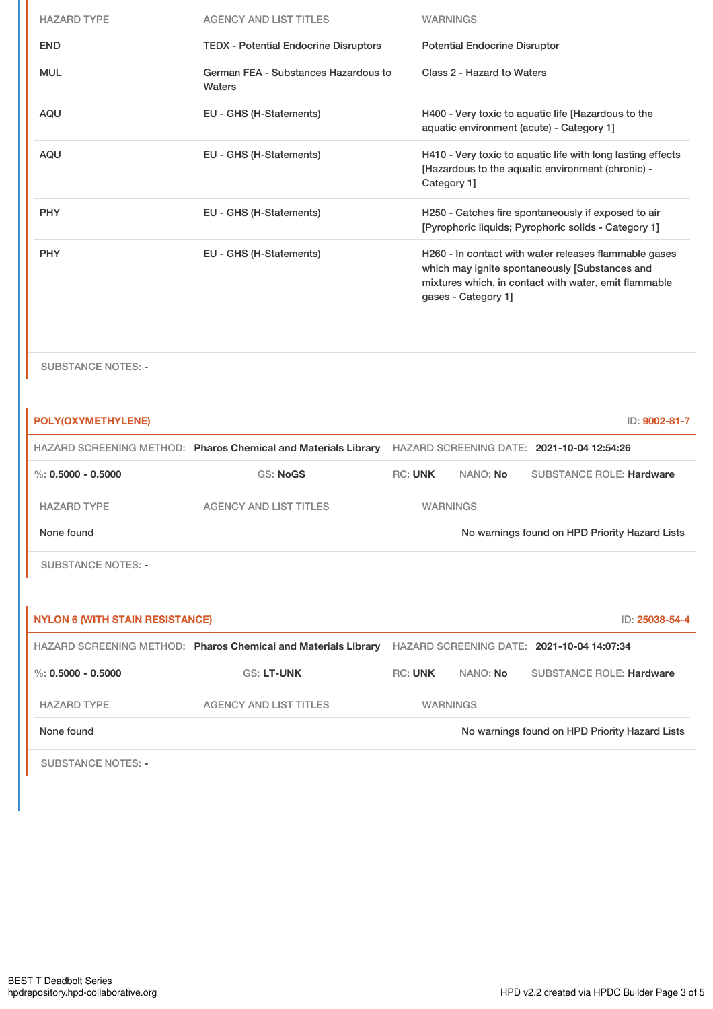| <b>HAZARD TYPE</b> | <b>AGENCY AND LIST TITLES</b>                  | <b>WARNINGS</b>                                                                                                                                                                         |
|--------------------|------------------------------------------------|-----------------------------------------------------------------------------------------------------------------------------------------------------------------------------------------|
| <b>END</b>         | <b>TEDX - Potential Endocrine Disruptors</b>   | <b>Potential Endocrine Disruptor</b>                                                                                                                                                    |
| <b>MUL</b>         | German FEA - Substances Hazardous to<br>Waters | Class 2 - Hazard to Waters                                                                                                                                                              |
| <b>AQU</b>         | EU - GHS (H-Statements)                        | H400 - Very toxic to aquatic life [Hazardous to the<br>aquatic environment (acute) - Category 1]                                                                                        |
| <b>AQU</b>         | EU - GHS (H-Statements)                        | H410 - Very toxic to aquatic life with long lasting effects<br>[Hazardous to the aquatic environment (chronic) -<br>Category 1]                                                         |
| <b>PHY</b>         | EU - GHS (H-Statements)                        | H250 - Catches fire spontaneously if exposed to air<br>[Pyrophoric liquids; Pyrophoric solids - Category 1]                                                                             |
| <b>PHY</b>         | EU - GHS (H-Statements)                        | H260 - In contact with water releases flammable gases<br>which may ignite spontaneously [Substances and<br>mixtures which, in contact with water, emit flammable<br>gases - Category 1] |

SUBSTANCE NOTES: -

| POLY(OXYMETHYLENE)                     |                                                                |                |                 | ID: 9002-81-7                                  |
|----------------------------------------|----------------------------------------------------------------|----------------|-----------------|------------------------------------------------|
|                                        | HAZARD SCREENING METHOD: Pharos Chemical and Materials Library |                |                 | HAZARD SCREENING DATE: 2021-10-04 12:54:26     |
| $\%$ : 0.5000 - 0.5000                 | <b>GS: NoGS</b>                                                | <b>RC: UNK</b> | NANO: No        | <b>SUBSTANCE ROLE: Hardware</b>                |
| <b>HAZARD TYPE</b>                     | <b>AGENCY AND LIST TITLES</b>                                  |                | <b>WARNINGS</b> |                                                |
| None found                             |                                                                |                |                 | No warnings found on HPD Priority Hazard Lists |
| <b>SUBSTANCE NOTES: -</b>              |                                                                |                |                 |                                                |
|                                        |                                                                |                |                 |                                                |
| <b>NYLON 6 (WITH STAIN RESISTANCE)</b> |                                                                |                |                 | ID: 25038-54-4                                 |
|                                        |                                                                |                |                 |                                                |
|                                        | HAZARD SCREENING METHOD: Pharos Chemical and Materials Library |                |                 | HAZARD SCREENING DATE: 2021-10-04 14:07:34     |
| $\%$ : 0.5000 - 0.5000                 | <b>GS: LT-UNK</b>                                              | <b>RC: UNK</b> | NANO: No        | <b>SUBSTANCE ROLE: Hardware</b>                |
| <b>HAZARD TYPE</b>                     | <b>AGENCY AND LIST TITLES</b>                                  |                | <b>WARNINGS</b> |                                                |
| None found                             |                                                                |                |                 | No warnings found on HPD Priority Hazard Lists |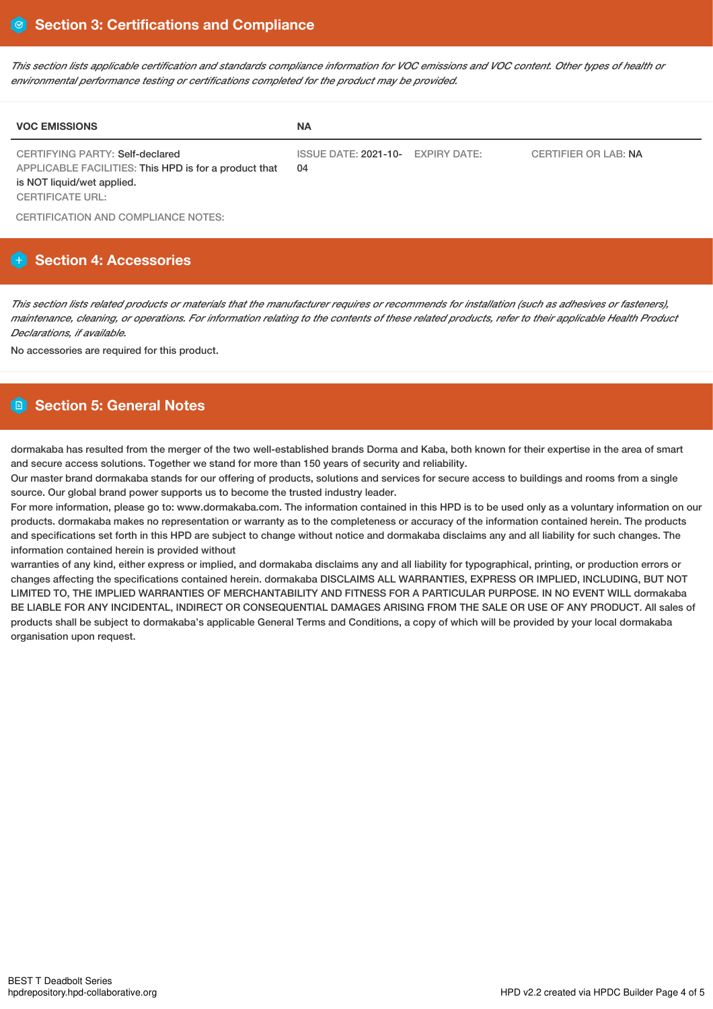This section lists applicable certification and standards compliance information for VOC emissions and VOC content. Other types of health or *environmental performance testing or certifications completed for the product may be provided.*

| <b>VOC EMISSIONS</b>                                                                                                                                     | <b>NA</b>                               |                             |
|----------------------------------------------------------------------------------------------------------------------------------------------------------|-----------------------------------------|-----------------------------|
| <b>CERTIFYING PARTY: Self-declared</b><br>APPLICABLE FACILITIES: This HPD is for a product that<br>is NOT liquid/wet applied.<br><b>CERTIFICATE URL:</b> | ISSUE DATE: 2021-10- EXPIRY DATE:<br>04 | <b>CERTIFIER OR LAB: NA</b> |

CERTIFICATION AND COMPLIANCE NOTES:

# **Section 4: Accessories**

This section lists related products or materials that the manufacturer requires or recommends for installation (such as adhesives or fasteners), maintenance, cleaning, or operations. For information relating to the contents of these related products, refer to their applicable Health Product *Declarations, if available.*

No accessories are required for this product.

# **Section 5: General Notes**

dormakaba has resulted from the merger of the two well-established brands Dorma and Kaba, both known for their expertise in the area of smart and secure access solutions. Together we stand for more than 150 years of security and reliability.

Our master brand dormakaba stands for our offering of products, solutions and services for secure access to buildings and rooms from a single source. Our global brand power supports us to become the trusted industry leader.

For more information, please go to: www.dormakaba.com. The information contained in this HPD is to be used only as a voluntary information on our products. dormakaba makes no representation or warranty as to the completeness or accuracy of the information contained herein. The products and specifications set forth in this HPD are subject to change without notice and dormakaba disclaims any and all liability for such changes. The information contained herein is provided without

warranties of any kind, either express or implied, and dormakaba disclaims any and all liability for typographical, printing, or production errors or changes affecting the specifications contained herein. dormakaba DISCLAIMS ALL WARRANTIES, EXPRESS OR IMPLIED, INCLUDING, BUT NOT LIMITED TO, THE IMPLIED WARRANTIES OF MERCHANTABILITY AND FITNESS FOR A PARTICULAR PURPOSE. IN NO EVENT WILL dormakaba BE LIABLE FOR ANY INCIDENTAL, INDIRECT OR CONSEQUENTIAL DAMAGES ARISING FROM THE SALE OR USE OF ANY PRODUCT. All sales of products shall be subject to dormakaba's applicable General Terms and Conditions, a copy of which will be provided by your local dormakaba organisation upon request.